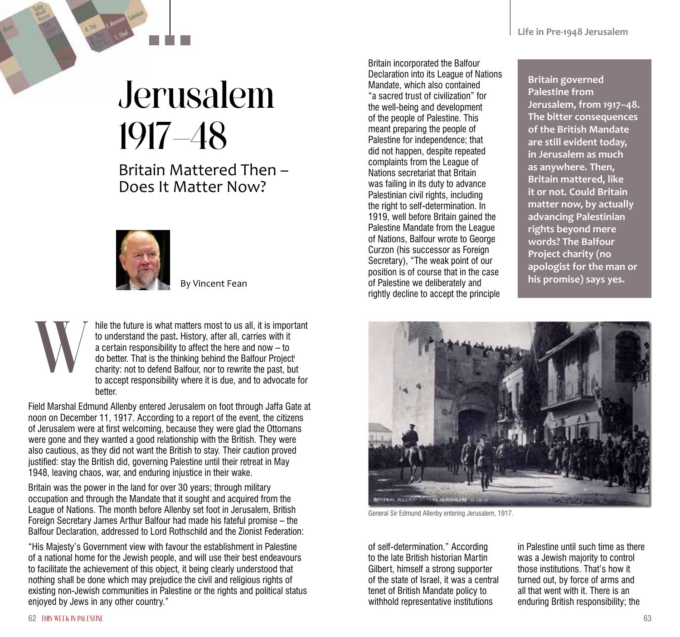## Jerusalem 1917–48

Britain Mattered Then – Does It Matter Now?



By Vincent Fean

hile the future is what matters most to us all, it is important to understand the past**.** History, after all, carries with it a certain responsibility to affect the here and now – to do better. That is the thinking behind the Balfour Projecti charity: not to defend Balfour, nor to rewrite the past, but to accept responsibility where it is due, and to advocate for better. W

Field Marshal Edmund Allenby entered Jerusalem on foot through Jaffa Gate at noon on December 11, 1917. According to a report of the event, the citizens of Jerusalem were at first welcoming, because they were glad the Ottomans were gone and they wanted a good relationship with the British. They were also cautious, as they did not want the British to stay. Their caution proved justified: stay the British did, governing Palestine until their retreat in May 1948, leaving chaos, war, and enduring injustice in their wake.

Britain was the power in the land for over 30 years; through military occupation and through the Mandate that it sought and acquired from the League of Nations. The month before Allenby set foot in Jerusalem, British Foreign Secretary James Arthur Balfour had made his fateful promise – the Balfour Declaration, addressed to Lord Rothschild and the Zionist Federation:

"His Majesty's Government view with favour the establishment in Palestine of a national home for the Jewish people, and will use their best endeavours to facilitate the achievement of this object, it being clearly understood that nothing shall be done which may prejudice the civil and religious rights of existing non-Jewish communities in Palestine or the rights and political status enjoyed by Jews in any other country."

Britain incorporated the Balfour Declaration into its League of Nations Mandate, which also contained "a sacred trust of civilization" for the well-being and development of the people of Palestine. This meant preparing the people of Palestine for independence; that did not happen, despite repeated complaints from the League of Nations secretariat that Britain was failing in its duty to advance Palestinian civil rights, including the right to self-determination. In 1919, well before Britain gained the Palestine Mandate from the League of Nations, Balfour wrote to George Curzon (his successor as Foreign Secretary), "The weak point of our position is of course that in the case of Palestine we deliberately and rightly decline to accept the principle

**Britain governed Palestine from Jerusalem, from 1917–48. The bitter consequences of the British Mandate are still evident today, in Jerusalem as much as anywhere. Then, Britain mattered, like it or not. Could Britain matter now, by actually advancing Palestinian rights beyond mere words? The Balfour Project charity (no apologist for the man or his promise) says yes.**



General Sir Edmund Allenby entering Jerusalem, 1917.

of self-determination." According to the late British historian Martin Gilbert, himself a strong supporter of the state of Israel, it was a central tenet of British Mandate policy to withhold representative institutions

in Palestine until such time as there was a Jewish majority to control those institutions. That's how it turned out, by force of arms and all that went with it. There is an enduring British responsibility; the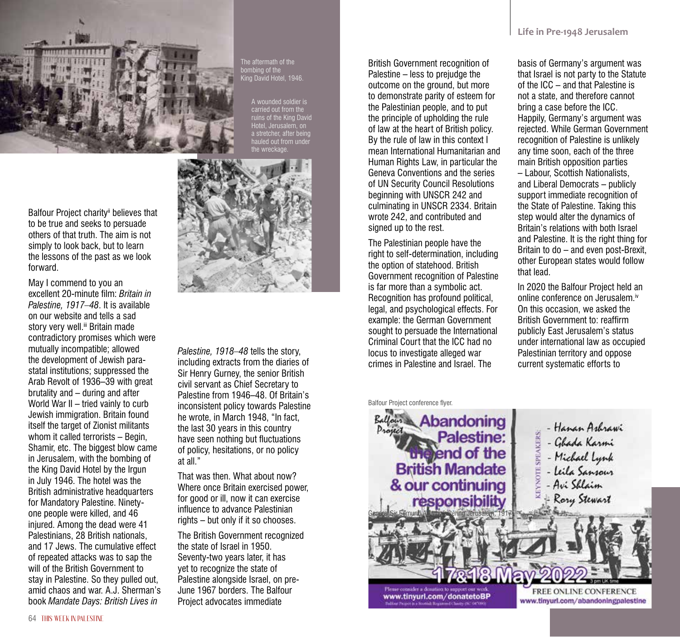

Balfour Project charity<sup>ii</sup> believes that to be true and seeks to persuade others of that truth. The aim is not simply to look back, but to learn the lessons of the past as we look forward.

May I commend to you an excellent 20-minute film: *Britain in Palestine, 1917–48*. It is available on our website and tells a sad story very well.<sup>iii</sup> Britain made contradictory promises which were mutually incompatible; allowed the development of Jewish parastatal institutions; suppressed the Arab Revolt of 1936–39 with great brutality and – during and after World War II – tried vainly to curb Jewish immigration. Britain found itself the target of Zionist militants whom it called terrorists - Begin. Shamir, etc. The biggest blow came in Jerusalem, with the bombing of the King David Hotel by the Irgun in July 1946. The hotel was the British administrative headquarters for Mandatory Palestine. Ninetyone people were killed, and 46 injured. Among the dead were 41 Palestinians, 28 British nationals, and 17 Jews. The cumulative effect of repeated attacks was to sap the will of the British Government to stay in Palestine. So they pulled out, amid chaos and war. A.J. Sherman's book *Mandate Days: British Lives in* 

The aftermath of the bombing of the King David Hotel, 1946.

> A wounded soldier is carried out from the ruins of the King David Hotel, Jerusalem, on a stretcher, after being auled out from unde the wreckage.



*Palestine, 1918–48* tells the story, including extracts from the diaries of Sir Henry Gurney, the senior British civil servant as Chief Secretary to Palestine from 1946–48. Of Britain's inconsistent policy towards Palestine he wrote, in March 1948, "In fact, the last 30 years in this country have seen nothing but fluctuations of policy, hesitations, or no policy at all."

That was then. What about now? Where once Britain exercised power, for good or ill, now it can exercise influence to advance Palestinian rights – but only if it so chooses.

The British Government recognized the state of Israel in 1950. Seventy-two years later, it has yet to recognize the state of Palestine alongside Israel, on pre-June 1967 borders. The Balfour Project advocates immediate

British Government recognition of Palestine – less to prejudge the outcome on the ground, but more to demonstrate parity of esteem for the Palestinian people, and to put the principle of upholding the rule of law at the heart of British policy. By the rule of law in this context I mean International Humanitarian and Human Rights Law, in particular the Geneva Conventions and the series of UN Security Council Resolutions beginning with UNSCR 242 and culminating in UNSCR 2334. Britain wrote 242, and contributed and signed up to the rest.

The Palestinian people have the right to self-determination, including the option of statehood. British Government recognition of Palestine is far more than a symbolic act. Recognition has profound political, legal, and psychological effects. For example: the German Government sought to persuade the International Criminal Court that the ICC had no locus to investigate alleged war crimes in Palestine and Israel. The

Balfour Project conference flyer.

basis of Germany's argument was that Israel is not party to the Statute of the ICC – and that Palestine is not a state, and therefore cannot bring a case before the ICC. Happily, Germany's argument was rejected. While German Government recognition of Palestine is unlikely any time soon, each of the three main British opposition parties – Labour, Scottish Nationalists, and Liberal Democrats – publicly support immediate recognition of the State of Palestine. Taking this step would alter the dynamics of Britain's relations with both Israel and Palestine. It is the right thing for Britain to do – and even post-Brexit, other European states would follow that lead.

In 2020 the Balfour Project held an online conference on Jerusalem.iv On this occasion, we asked the British Government to: reaffirm publicly East Jerusalem's status under international law as occupied Palestinian territory and oppose current systematic efforts to